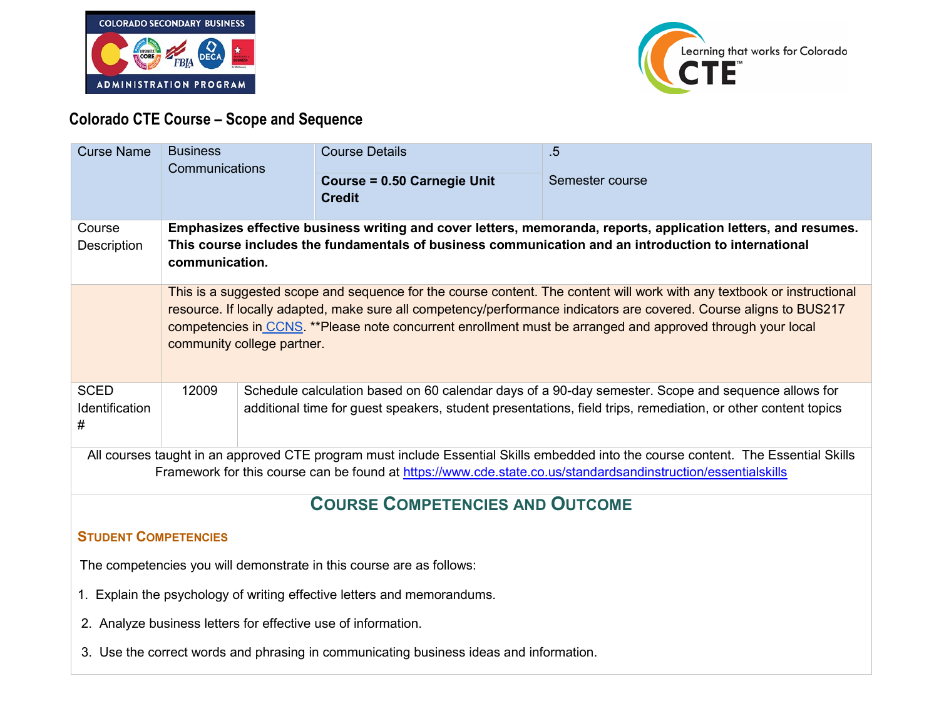



# **Colorado CTE Course – Scope and Sequence**

| <b>Curse Name</b>                                                                                                                                                                                                                                   | <b>Business</b>                                                                                                                                                                                                                                                                                                                                                                           |                                                                                                                                                                                                                    | <b>Course Details</b>                               | $.5\,$          |
|-----------------------------------------------------------------------------------------------------------------------------------------------------------------------------------------------------------------------------------------------------|-------------------------------------------------------------------------------------------------------------------------------------------------------------------------------------------------------------------------------------------------------------------------------------------------------------------------------------------------------------------------------------------|--------------------------------------------------------------------------------------------------------------------------------------------------------------------------------------------------------------------|-----------------------------------------------------|-----------------|
|                                                                                                                                                                                                                                                     | Communications                                                                                                                                                                                                                                                                                                                                                                            |                                                                                                                                                                                                                    | <b>Course = 0.50 Carnegie Unit</b><br><b>Credit</b> | Semester course |
| Course<br>Description                                                                                                                                                                                                                               | Emphasizes effective business writing and cover letters, memoranda, reports, application letters, and resumes.<br>This course includes the fundamentals of business communication and an introduction to international<br>communication.                                                                                                                                                  |                                                                                                                                                                                                                    |                                                     |                 |
|                                                                                                                                                                                                                                                     | This is a suggested scope and sequence for the course content. The content will work with any textbook or instructional<br>resource. If locally adapted, make sure all competency/performance indicators are covered. Course aligns to BUS217<br>competencies in CCNS. **Please note concurrent enrollment must be arranged and approved through your local<br>community college partner. |                                                                                                                                                                                                                    |                                                     |                 |
| <b>SCED</b><br>Identification<br>#                                                                                                                                                                                                                  | 12009                                                                                                                                                                                                                                                                                                                                                                                     | Schedule calculation based on 60 calendar days of a 90-day semester. Scope and sequence allows for<br>additional time for guest speakers, student presentations, field trips, remediation, or other content topics |                                                     |                 |
| All courses taught in an approved CTE program must include Essential Skills embedded into the course content. The Essential Skills<br>Framework for this course can be found at https://www.cde.state.co.us/standardsandinstruction/essentialskills |                                                                                                                                                                                                                                                                                                                                                                                           |                                                                                                                                                                                                                    |                                                     |                 |
| <b>COURSE COMPETENCIES AND OUTCOME</b>                                                                                                                                                                                                              |                                                                                                                                                                                                                                                                                                                                                                                           |                                                                                                                                                                                                                    |                                                     |                 |
| <b>STUDENT COMPETENCIES</b>                                                                                                                                                                                                                         |                                                                                                                                                                                                                                                                                                                                                                                           |                                                                                                                                                                                                                    |                                                     |                 |
| The competencies you will demonstrate in this course are as follows:                                                                                                                                                                                |                                                                                                                                                                                                                                                                                                                                                                                           |                                                                                                                                                                                                                    |                                                     |                 |
| 1. Explain the psychology of writing effective letters and memorandums.                                                                                                                                                                             |                                                                                                                                                                                                                                                                                                                                                                                           |                                                                                                                                                                                                                    |                                                     |                 |
| 2. Analyze business letters for effective use of information.                                                                                                                                                                                       |                                                                                                                                                                                                                                                                                                                                                                                           |                                                                                                                                                                                                                    |                                                     |                 |
| 3. Use the correct words and phrasing in communicating business ideas and information.                                                                                                                                                              |                                                                                                                                                                                                                                                                                                                                                                                           |                                                                                                                                                                                                                    |                                                     |                 |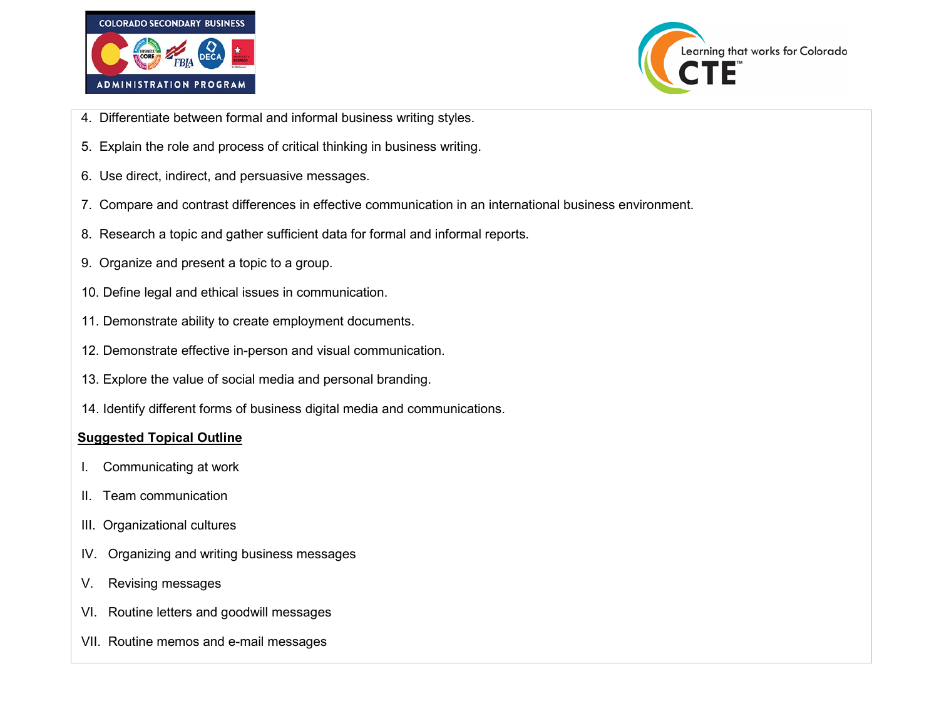



- 4. Differentiate between formal and informal business writing styles.
- 5. Explain the role and process of critical thinking in business writing.
- 6. Use direct, indirect, and persuasive messages.
- 7. Compare and contrast differences in effective communication in an international business environment.
- 8. Research a topic and gather sufficient data for formal and informal reports.
- 9. Organize and present a topic to a group.
- 10. Define legal and ethical issues in communication.
- 11. Demonstrate ability to create employment documents.
- 12. Demonstrate effective in-person and visual communication.
- 13. Explore the value of social media and personal branding.
- 14. Identify different forms of business digital media and communications.

#### **Suggested Topical Outline**

- I. Communicating at work
- II. Team communication
- III. Organizational cultures
- IV. Organizing and writing business messages
- V. Revising messages
- VI. Routine letters and goodwill messages
- VII. Routine memos and e-mail messages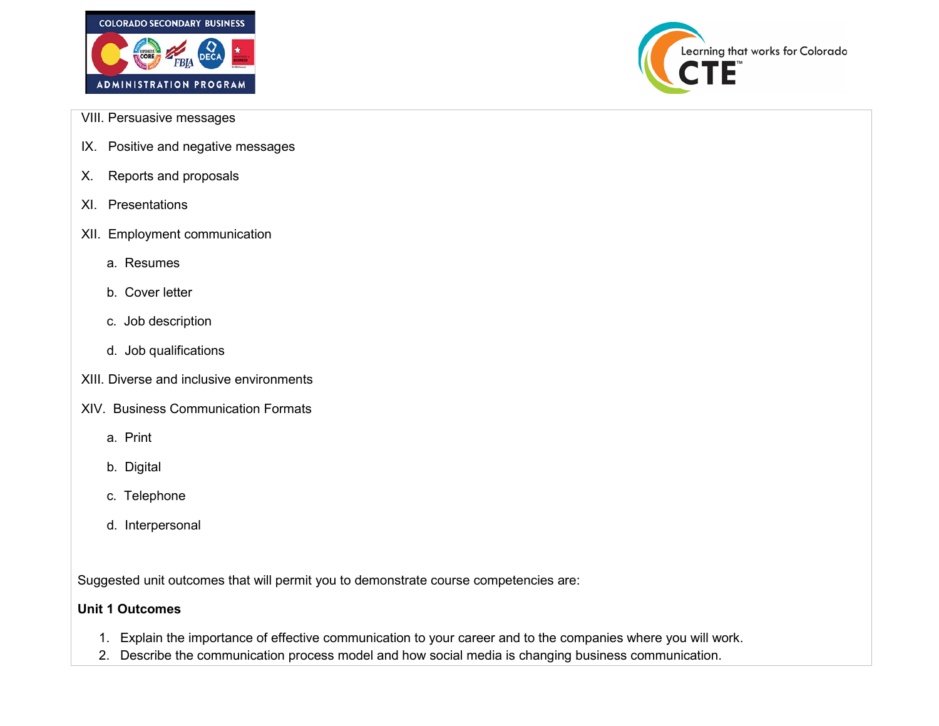



- VIII. Persuasive messages
- IX. Positive and negative messages
- X. Reports and proposals
- XI. Presentations
- XII. Employment communication
	- a. Resumes
	- b. Cover letter
	- c. Job description
	- d. Job qualifications
- XIII. Diverse and inclusive environments
- XIV. Business Communication Formats
	- a. Print
	- b. Digital
	- c. Telephone
	- d. Interpersonal

Suggested unit outcomes that will permit you to demonstrate course competencies are:

### **Unit 1 Outcomes**

- 1. Explain the importance of effective communication to your career and to the companies where you will work.
- 2. Describe the communication process model and how social media is changing business communication.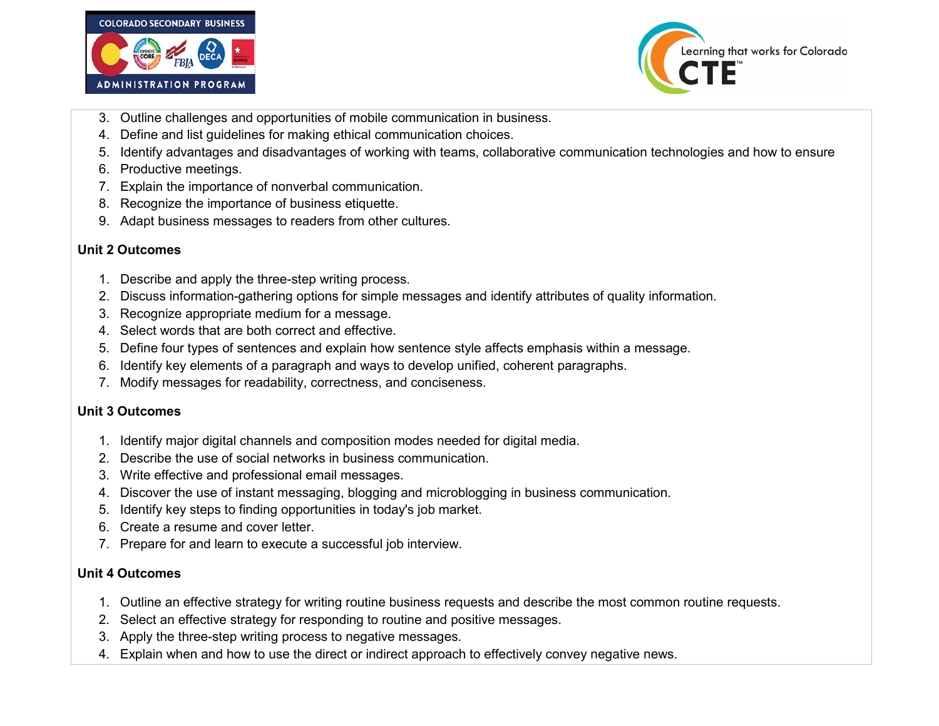



- 3. Outline challenges and opportunities of mobile communication in business.
- 4. Define and list guidelines for making ethical communication choices.
- 5. Identify advantages and disadvantages of working with teams, collaborative communication technologies and how to ensure
- 6. Productive meetings.
- 7. Explain the importance of nonverbal communication.
- 8. Recognize the importance of business etiquette.
- 9. Adapt business messages to readers from other cultures.

## **Unit 2 Outcomes**

- 1. Describe and apply the three-step writing process.
- 2. Discuss information-gathering options for simple messages and identify attributes of quality information.
- 3. Recognize appropriate medium for a message.
- 4. Select words that are both correct and effective.
- 5. Define four types of sentences and explain how sentence style affects emphasis within a message.
- 6. Identify key elements of a paragraph and ways to develop unified, coherent paragraphs.
- 7. Modify messages for readability, correctness, and conciseness.

### **Unit 3 Outcomes**

- 1. Identify major digital channels and composition modes needed for digital media.
- 2. Describe the use of social networks in business communication.
- 3. Write effective and professional email messages.
- 4. Discover the use of instant messaging, blogging and microblogging in business communication.
- 5. Identify key steps to finding opportunities in today's job market.
- 6. Create a resume and cover letter.
- 7. Prepare for and learn to execute a successful job interview.

### **Unit 4 Outcomes**

- 1. Outline an effective strategy for writing routine business requests and describe the most common routine requests.
- 2. Select an effective strategy for responding to routine and positive messages.
- 3. Apply the three-step writing process to negative messages.
- 4. Explain when and how to use the direct or indirect approach to effectively convey negative news.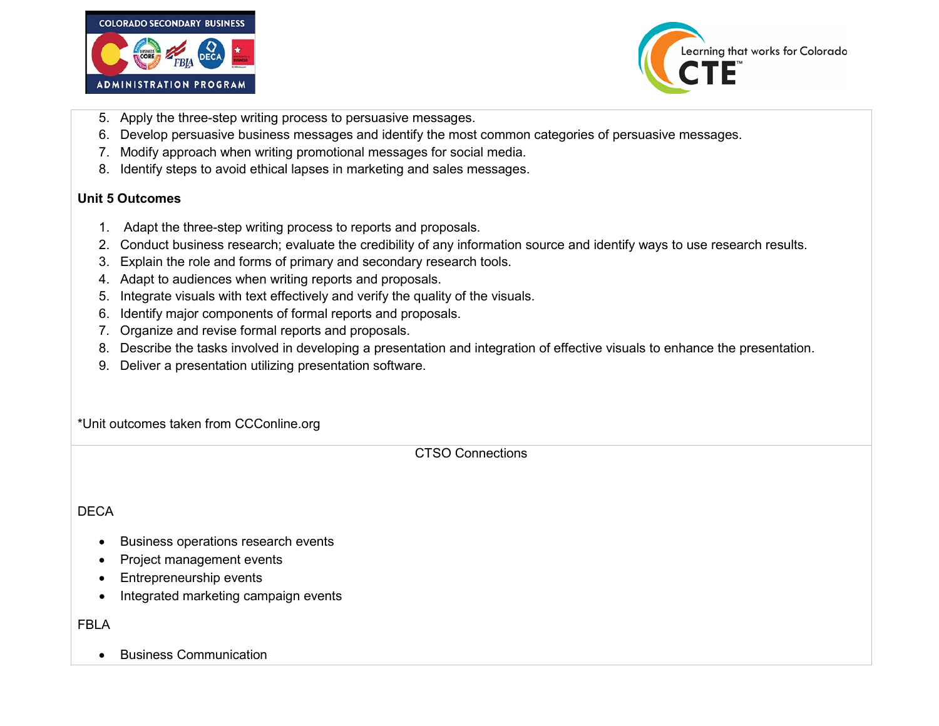



- 5. Apply the three-step writing process to persuasive messages.
- 6. Develop persuasive business messages and identify the most common categories of persuasive messages.
- 7. Modify approach when writing promotional messages for social media.
- 8. Identify steps to avoid ethical lapses in marketing and sales messages.

#### **Unit 5 Outcomes**

- 1. Adapt the three-step writing process to reports and proposals.
- 2. Conduct business research; evaluate the credibility of any information source and identify ways to use research results.
- 3. Explain the role and forms of primary and secondary research tools.
- 4. Adapt to audiences when writing reports and proposals.
- 5. Integrate visuals with text effectively and verify the quality of the visuals.
- 6. Identify major components of formal reports and proposals.
- 7. Organize and revise formal reports and proposals.
- 8. Describe the tasks involved in developing a presentation and integration of effective visuals to enhance the presentation.
- 9. Deliver a presentation utilizing presentation software.

\*Unit outcomes taken from CCConline.org

CTSO Connections

## DECA

- Business operations research events
- Project management events
- Entrepreneurship events
- Integrated marketing campaign events

# FBLA

• Business Communication